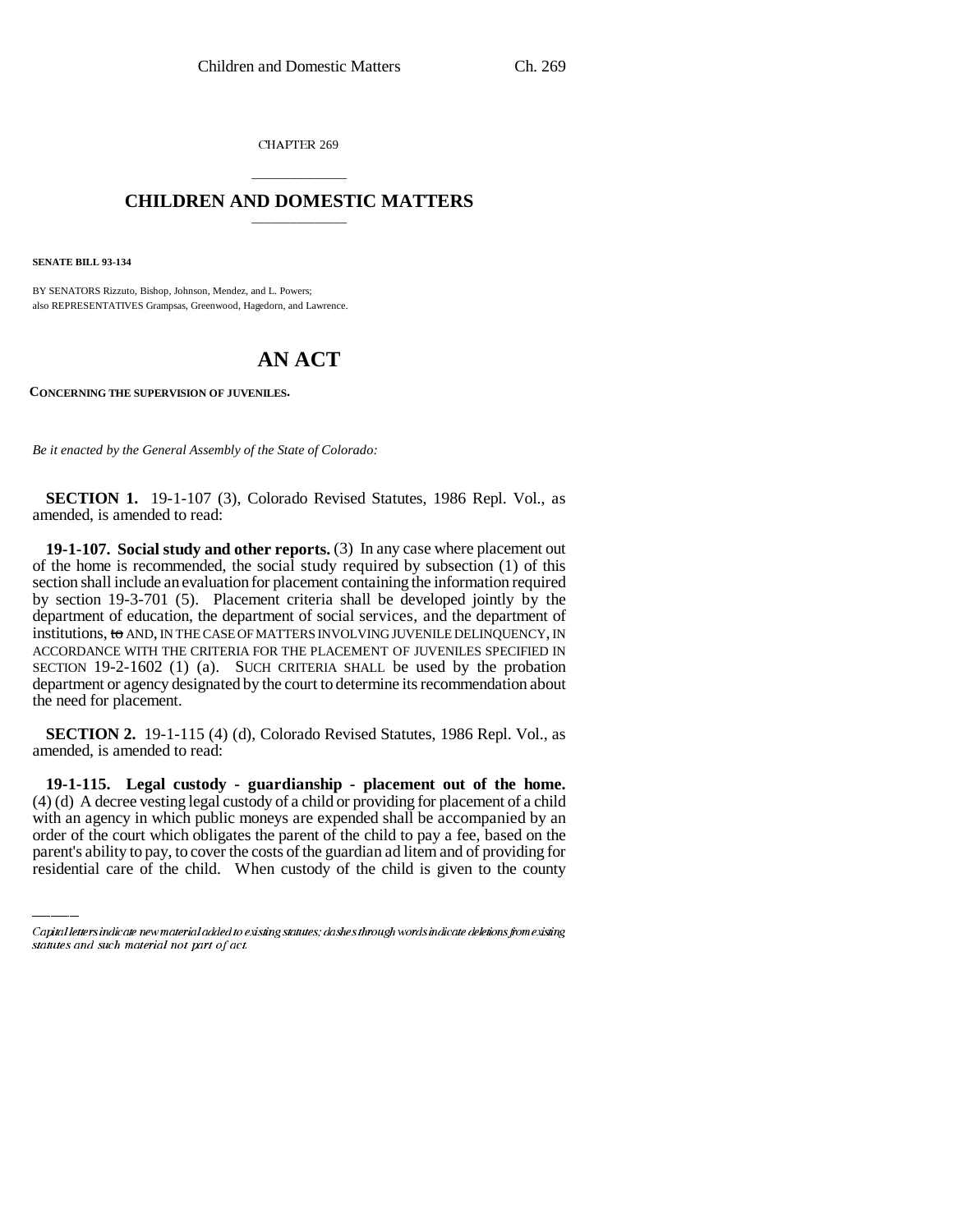**CHAPTER 269** 

# \_\_\_\_\_\_\_\_\_\_\_\_\_\_\_ **CHILDREN AND DOMESTIC MATTERS** \_\_\_\_\_\_\_\_\_\_\_\_\_\_\_

**SENATE BILL 93-134**

BY SENATORS Rizzuto, Bishop, Johnson, Mendez, and L. Powers; also REPRESENTATIVES Grampsas, Greenwood, Hagedorn, and Lawrence.

# **AN ACT**

**CONCERNING THE SUPERVISION OF JUVENILES.**

*Be it enacted by the General Assembly of the State of Colorado:*

**SECTION 1.** 19-1-107 (3), Colorado Revised Statutes, 1986 Repl. Vol., as amended, is amended to read:

**19-1-107. Social study and other reports.** (3) In any case where placement out of the home is recommended, the social study required by subsection (1) of this section shall include an evaluation for placement containing the information required by section 19-3-701 (5). Placement criteria shall be developed jointly by the department of education, the department of social services, and the department of institutions, to AND, IN THE CASE OF MATTERS INVOLVING JUVENILE DELINQUENCY, IN ACCORDANCE WITH THE CRITERIA FOR THE PLACEMENT OF JUVENILES SPECIFIED IN SECTION 19-2-1602 (1) (a). SUCH CRITERIA SHALL be used by the probation department or agency designated by the court to determine its recommendation about the need for placement.

**SECTION 2.** 19-1-115 (4) (d), Colorado Revised Statutes, 1986 Repl. Vol., as amended, is amended to read:

(4) (d) A decree vesting legal custody of a child or providing for placement of a child **19-1-115. Legal custody - guardianship - placement out of the home.** with an agency in which public moneys are expended shall be accompanied by an order of the court which obligates the parent of the child to pay a fee, based on the parent's ability to pay, to cover the costs of the guardian ad litem and of providing for residential care of the child. When custody of the child is given to the county

Capital letters indicate new material added to existing statutes; dashes through words indicate deletions from existing statutes and such material not part of act.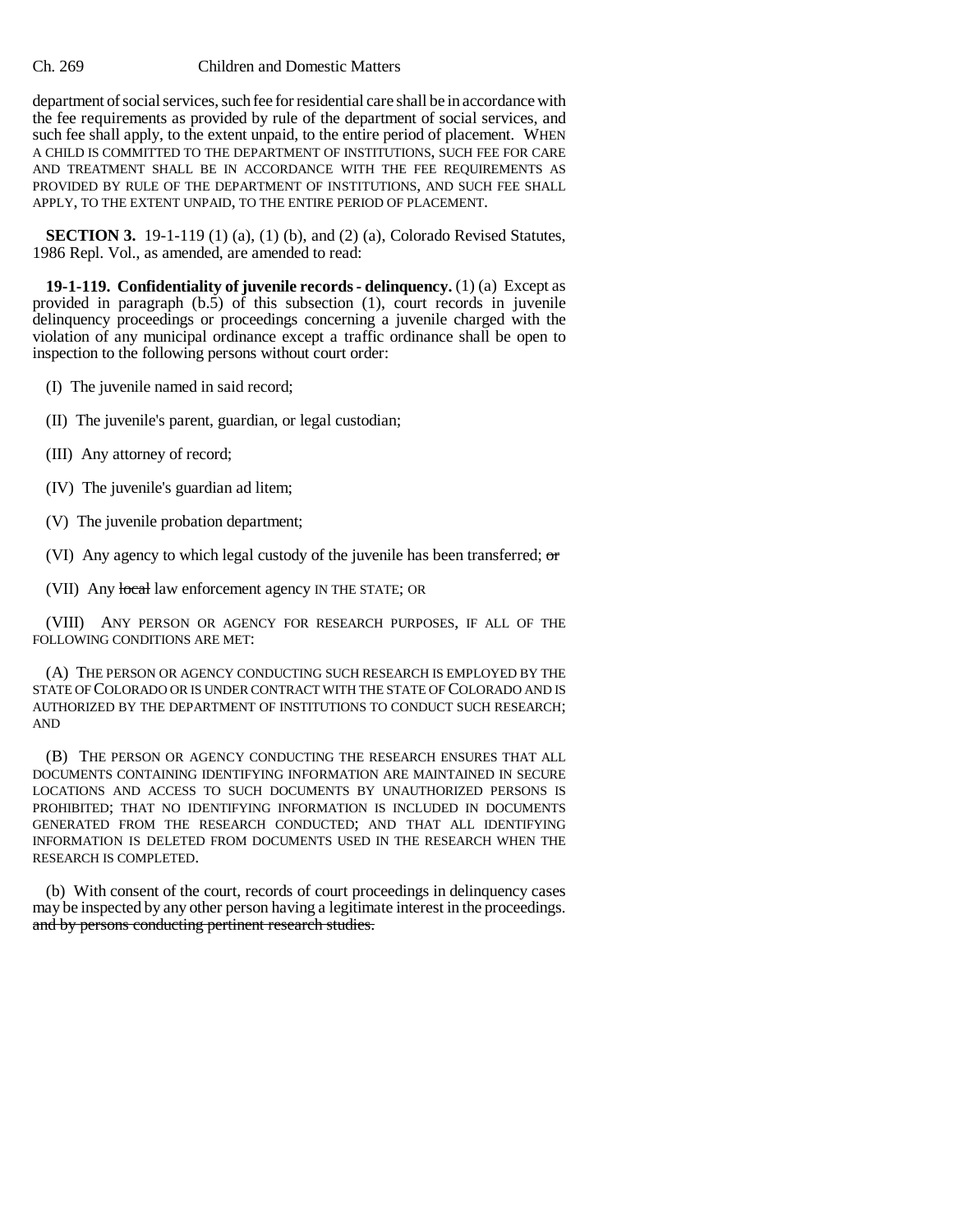## Ch. 269 Children and Domestic Matters

department of social services, such fee for residential care shall be in accordance with the fee requirements as provided by rule of the department of social services, and such fee shall apply, to the extent unpaid, to the entire period of placement. WHEN A CHILD IS COMMITTED TO THE DEPARTMENT OF INSTITUTIONS, SUCH FEE FOR CARE AND TREATMENT SHALL BE IN ACCORDANCE WITH THE FEE REQUIREMENTS AS PROVIDED BY RULE OF THE DEPARTMENT OF INSTITUTIONS, AND SUCH FEE SHALL APPLY, TO THE EXTENT UNPAID, TO THE ENTIRE PERIOD OF PLACEMENT.

**SECTION 3.** 19-1-119 (1) (a), (1) (b), and (2) (a), Colorado Revised Statutes, 1986 Repl. Vol., as amended, are amended to read:

**19-1-119. Confidentiality of juvenile records - delinquency.** (1) (a) Except as provided in paragraph (b.5) of this subsection (1), court records in juvenile delinquency proceedings or proceedings concerning a juvenile charged with the violation of any municipal ordinance except a traffic ordinance shall be open to inspection to the following persons without court order:

- (I) The juvenile named in said record;
- (II) The juvenile's parent, guardian, or legal custodian;
- (III) Any attorney of record;
- (IV) The juvenile's guardian ad litem;
- (V) The juvenile probation department;
- (VI) Any agency to which legal custody of the juvenile has been transferred; or
- (VII) Any local law enforcement agency IN THE STATE; OR

(VIII) ANY PERSON OR AGENCY FOR RESEARCH PURPOSES, IF ALL OF THE FOLLOWING CONDITIONS ARE MET:

(A) THE PERSON OR AGENCY CONDUCTING SUCH RESEARCH IS EMPLOYED BY THE STATE OF COLORADO OR IS UNDER CONTRACT WITH THE STATE OF COLORADO AND IS AUTHORIZED BY THE DEPARTMENT OF INSTITUTIONS TO CONDUCT SUCH RESEARCH; AND

(B) THE PERSON OR AGENCY CONDUCTING THE RESEARCH ENSURES THAT ALL DOCUMENTS CONTAINING IDENTIFYING INFORMATION ARE MAINTAINED IN SECURE LOCATIONS AND ACCESS TO SUCH DOCUMENTS BY UNAUTHORIZED PERSONS IS PROHIBITED; THAT NO IDENTIFYING INFORMATION IS INCLUDED IN DOCUMENTS GENERATED FROM THE RESEARCH CONDUCTED; AND THAT ALL IDENTIFYING INFORMATION IS DELETED FROM DOCUMENTS USED IN THE RESEARCH WHEN THE RESEARCH IS COMPLETED.

(b) With consent of the court, records of court proceedings in delinquency cases may be inspected by any other person having a legitimate interest in the proceedings. and by persons conducting pertinent research studies.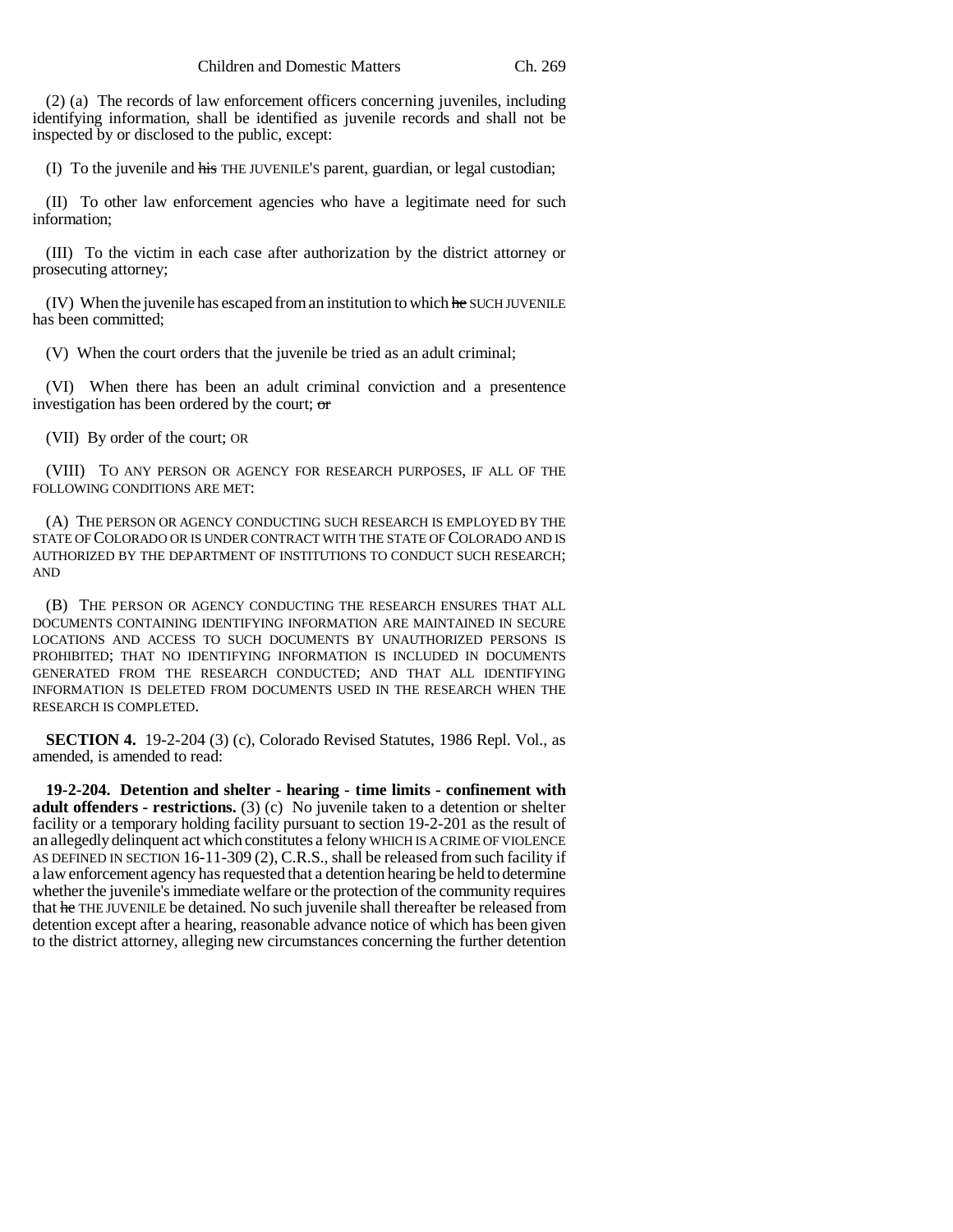(2) (a) The records of law enforcement officers concerning juveniles, including identifying information, shall be identified as juvenile records and shall not be inspected by or disclosed to the public, except:

(I) To the juvenile and his THE JUVENILE'S parent, guardian, or legal custodian;

(II) To other law enforcement agencies who have a legitimate need for such information;

(III) To the victim in each case after authorization by the district attorney or prosecuting attorney;

 $(IV)$  When the juvenile has escaped from an institution to which  $he$  SUCH JUVENILE has been committed;

(V) When the court orders that the juvenile be tried as an adult criminal;

(VI) When there has been an adult criminal conviction and a presentence investigation has been ordered by the court; or

(VII) By order of the court; OR

(VIII) TO ANY PERSON OR AGENCY FOR RESEARCH PURPOSES, IF ALL OF THE FOLLOWING CONDITIONS ARE MET:

(A) THE PERSON OR AGENCY CONDUCTING SUCH RESEARCH IS EMPLOYED BY THE STATE OF COLORADO OR IS UNDER CONTRACT WITH THE STATE OF COLORADO AND IS AUTHORIZED BY THE DEPARTMENT OF INSTITUTIONS TO CONDUCT SUCH RESEARCH; AND

(B) THE PERSON OR AGENCY CONDUCTING THE RESEARCH ENSURES THAT ALL DOCUMENTS CONTAINING IDENTIFYING INFORMATION ARE MAINTAINED IN SECURE LOCATIONS AND ACCESS TO SUCH DOCUMENTS BY UNAUTHORIZED PERSONS IS PROHIBITED; THAT NO IDENTIFYING INFORMATION IS INCLUDED IN DOCUMENTS GENERATED FROM THE RESEARCH CONDUCTED; AND THAT ALL IDENTIFYING INFORMATION IS DELETED FROM DOCUMENTS USED IN THE RESEARCH WHEN THE RESEARCH IS COMPLETED.

**SECTION 4.** 19-2-204 (3) (c), Colorado Revised Statutes, 1986 Repl. Vol., as amended, is amended to read:

**19-2-204. Detention and shelter - hearing - time limits - confinement with adult offenders - restrictions.** (3) (c) No juvenile taken to a detention or shelter facility or a temporary holding facility pursuant to section 19-2-201 as the result of an allegedly delinquent act which constitutes a felony WHICH IS A CRIME OF VIOLENCE AS DEFINED IN SECTION 16-11-309 (2), C.R.S., shall be released from such facility if a law enforcement agency has requested that a detention hearing be held to determine whether the juvenile's immediate welfare or the protection of the community requires that he THE JUVENILE be detained. No such juvenile shall thereafter be released from detention except after a hearing, reasonable advance notice of which has been given to the district attorney, alleging new circumstances concerning the further detention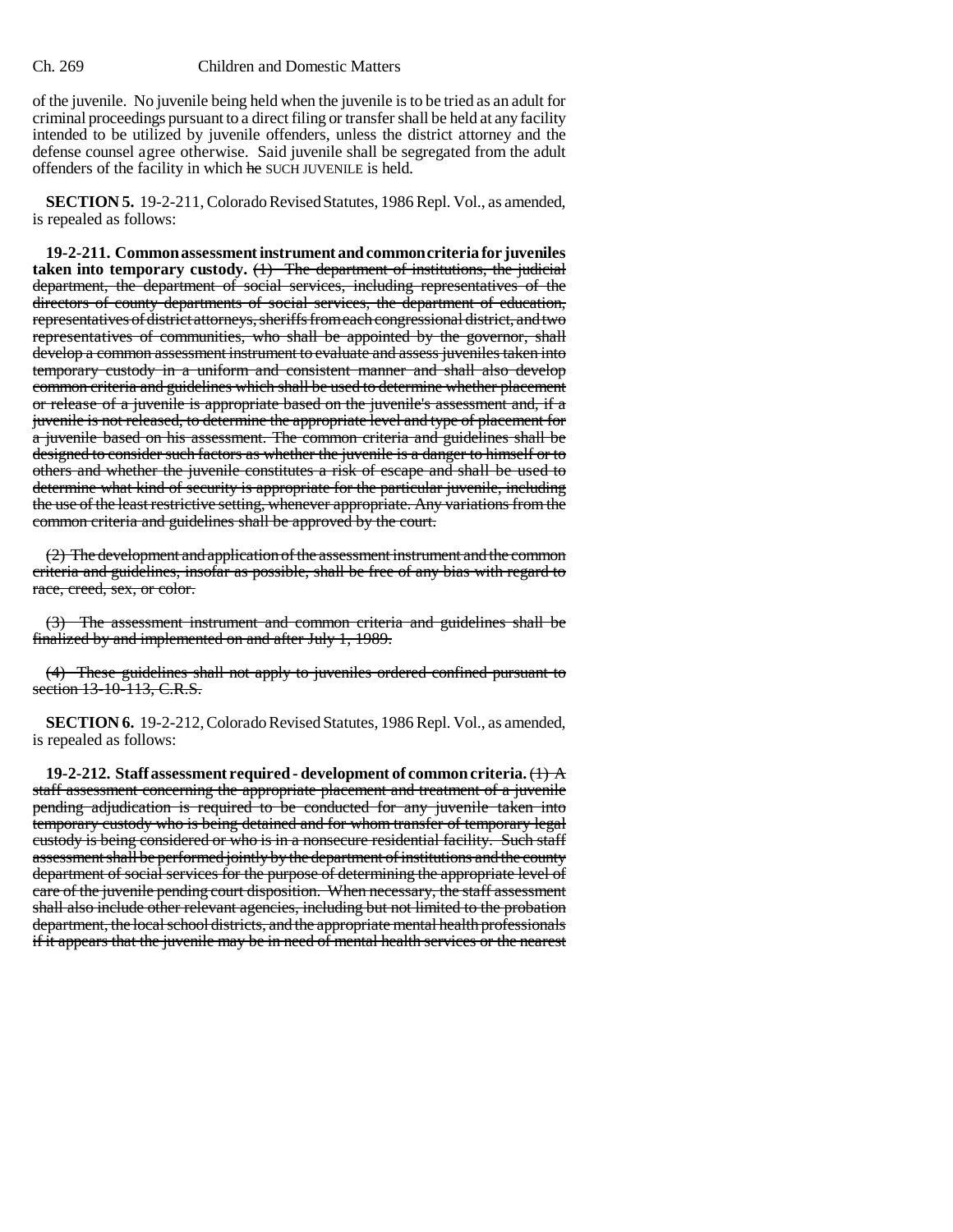### Ch. 269 Children and Domestic Matters

of the juvenile. No juvenile being held when the juvenile is to be tried as an adult for criminal proceedings pursuant to a direct filing or transfer shall be held at any facility intended to be utilized by juvenile offenders, unless the district attorney and the defense counsel agree otherwise. Said juvenile shall be segregated from the adult offenders of the facility in which he SUCH JUVENILE is held.

**SECTION 5.** 19-2-211, Colorado Revised Statutes, 1986 Repl. Vol., as amended, is repealed as follows:

**19-2-211. Common assessment instrument and common criteria for juveniles taken into temporary custody.** (1) The department of institutions, the judicial department, the department of social services, including representatives of the directors of county departments of social services, the department of education, representatives of district attorneys, sheriffs from each congressional district, and two representatives of communities, who shall be appointed by the governor, shall develop a common assessment instrument to evaluate and assess juveniles taken into temporary custody in a uniform and consistent manner and shall also develop common criteria and guidelines which shall be used to determine whether placement or release of a juvenile is appropriate based on the juvenile's assessment and, if a juvenile is not released, to determine the appropriate level and type of placement for a juvenile based on his assessment. The common criteria and guidelines shall be designed to consider such factors as whether the juvenile is a danger to himself or to others and whether the juvenile constitutes a risk of escape and shall be used to determine what kind of security is appropriate for the particular juvenile, including the use of the least restrictive setting, whenever appropriate. Any variations from the common criteria and guidelines shall be approved by the court.

(2) The development and application of the assessment instrument and the common criteria and guidelines, insofar as possible, shall be free of any bias with regard to race, creed, sex, or color.

(3) The assessment instrument and common criteria and guidelines shall be finalized by and implemented on and after July 1, 1989.

(4) These guidelines shall not apply to juveniles ordered confined pursuant to section 13-10-113, C.R.S.

**SECTION 6.** 19-2-212, Colorado Revised Statutes, 1986 Repl. Vol., as amended, is repealed as follows:

**19-2-212. Staff assessment required - development of common criteria.** (1) A staff assessment concerning the appropriate placement and treatment of a juvenile pending adjudication is required to be conducted for any juvenile taken into temporary custody who is being detained and for whom transfer of temporary legal custody is being considered or who is in a nonsecure residential facility. Such staff assessment shall be performed jointly by the department of institutions and the county department of social services for the purpose of determining the appropriate level of care of the juvenile pending court disposition. When necessary, the staff assessment shall also include other relevant agencies, including but not limited to the probation department, the local school districts, and the appropriate mental health professionals if it appears that the juvenile may be in need of mental health services or the nearest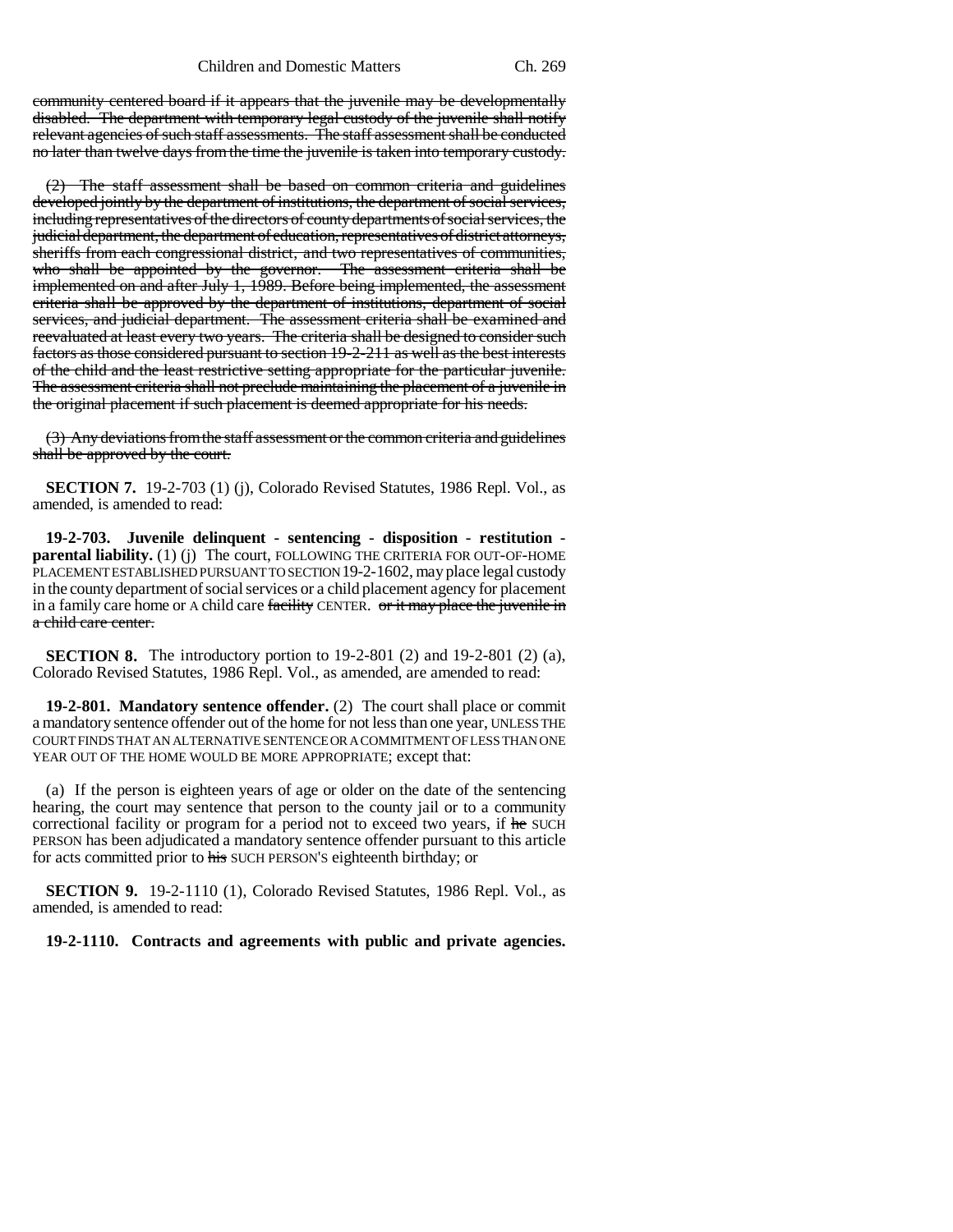community centered board if it appears that the juvenile may be developmentally disabled. The department with temporary legal custody of the juvenile shall notify relevant agencies of such staff assessments. The staff assessment shall be conducted no later than twelve days from the time the juvenile is taken into temporary custody.

(2) The staff assessment shall be based on common criteria and guidelines developed jointly by the department of institutions, the department of social services, including representatives of the directors of county departments of social services, the judicial department, the department of education, representatives of district attorneys, sheriffs from each congressional district, and two representatives of communities, who shall be appointed by the governor. The assessment criteria shall be implemented on each of  $\sim$  1.1.1999. The assessment criteria shall be implemented on and after July 1, 1989. Before being implemented, the assessment criteria shall be approved by the department of institutions, department of social services, and judicial department. The assessment criteria shall be examined and reevaluated at least every two years. The criteria shall be designed to consider such factors as those considered pursuant to section 19-2-211 as well as the best interests of the child and the least restrictive setting appropriate for the particular juvenile. The assessment criteria shall not preclude maintaining the placement of a juvenile in the original placement if such placement is deemed appropriate for his needs.

(3) Any deviations from the staff assessment or the common criteria and guidelines shall be approved by the court.

**SECTION 7.** 19-2-703 (1) (j), Colorado Revised Statutes, 1986 Repl. Vol., as amended, is amended to read:

**19-2-703. Juvenile delinquent - sentencing - disposition - restitution parental liability.** (1) (j) The court, FOLLOWING THE CRITERIA FOR OUT-OF-HOME PLACEMENT ESTABLISHED PURSUANT TO SECTION 19-2-1602, may place legal custody in the county department of social services or a child placement agency for placement in a family care home or A child care facility CENTER. or it may place the juvenile in a child care center.

**SECTION 8.** The introductory portion to 19-2-801 (2) and 19-2-801 (2) (a), Colorado Revised Statutes, 1986 Repl. Vol., as amended, are amended to read:

**19-2-801. Mandatory sentence offender.** (2) The court shall place or commit a mandatory sentence offender out of the home for not less than one year, UNLESS THE COURT FINDS THAT AN ALTERNATIVE SENTENCE OR A COMMITMENT OF LESS THAN ONE YEAR OUT OF THE HOME WOULD BE MORE APPROPRIATE; except that:

(a) If the person is eighteen years of age or older on the date of the sentencing hearing, the court may sentence that person to the county jail or to a community correctional facility or program for a period not to exceed two years, if he SUCH PERSON has been adjudicated a mandatory sentence offender pursuant to this article for acts committed prior to his SUCH PERSON'S eighteenth birthday; or

**SECTION 9.** 19-2-1110 (1), Colorado Revised Statutes, 1986 Repl. Vol., as amended, is amended to read:

**19-2-1110. Contracts and agreements with public and private agencies.**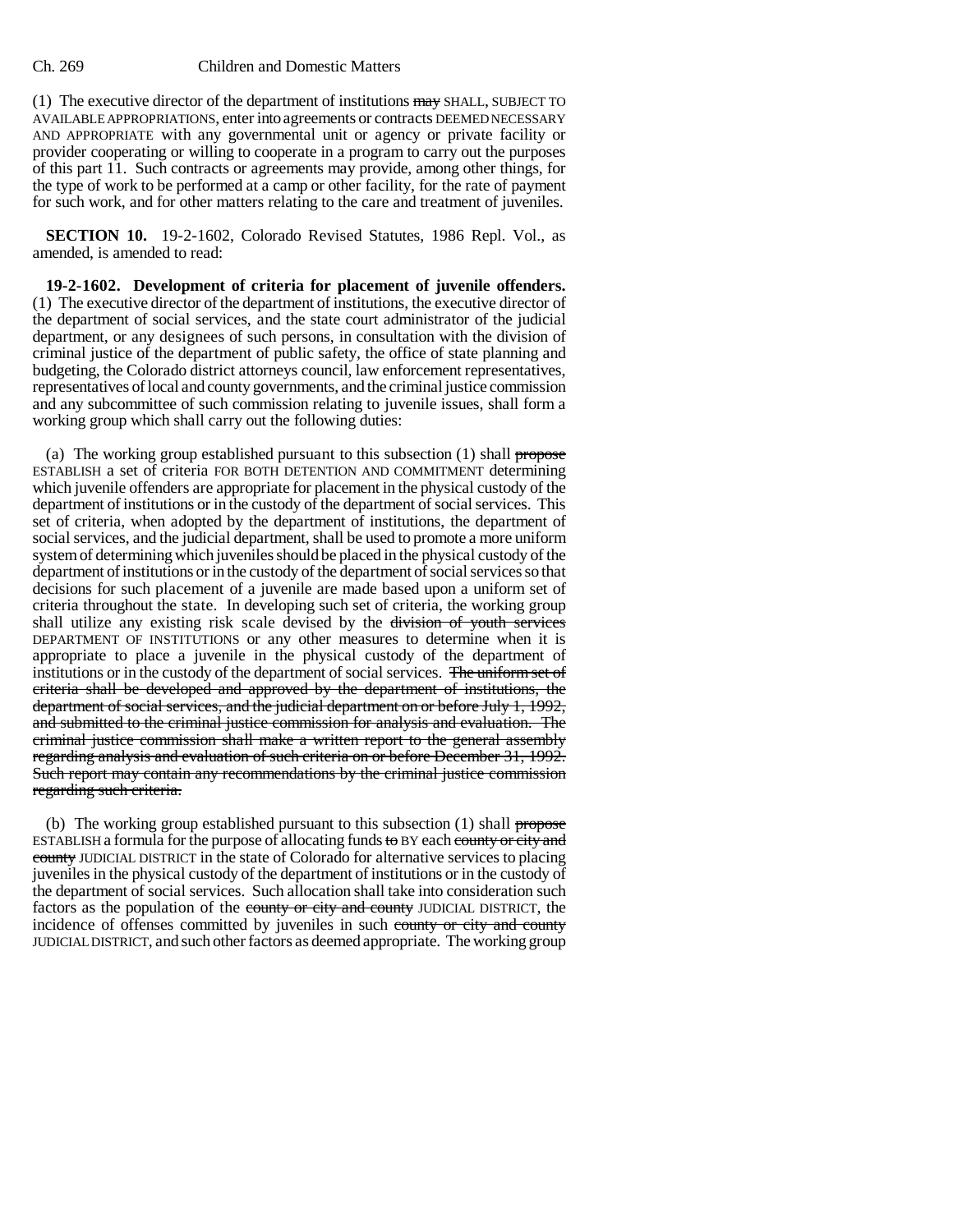### Ch. 269 Children and Domestic Matters

(1) The executive director of the department of institutions may SHALL, SUBJECT TO AVAILABLE APPROPRIATIONS, enter into agreements or contracts DEEMED NECESSARY AND APPROPRIATE with any governmental unit or agency or private facility or provider cooperating or willing to cooperate in a program to carry out the purposes of this part 11. Such contracts or agreements may provide, among other things, for the type of work to be performed at a camp or other facility, for the rate of payment for such work, and for other matters relating to the care and treatment of juveniles.

**SECTION 10.** 19-2-1602, Colorado Revised Statutes, 1986 Repl. Vol., as amended, is amended to read:

**19-2-1602. Development of criteria for placement of juvenile offenders.** (1) The executive director of the department of institutions, the executive director of the department of social services, and the state court administrator of the judicial department, or any designees of such persons, in consultation with the division of criminal justice of the department of public safety, the office of state planning and budgeting, the Colorado district attorneys council, law enforcement representatives, representatives of local and county governments, and the criminal justice commission and any subcommittee of such commission relating to juvenile issues, shall form a working group which shall carry out the following duties:

(a) The working group established pursuant to this subsection  $(1)$  shall propose ESTABLISH a set of criteria FOR BOTH DETENTION AND COMMITMENT determining which juvenile offenders are appropriate for placement in the physical custody of the department of institutions or in the custody of the department of social services. This set of criteria, when adopted by the department of institutions, the department of social services, and the judicial department, shall be used to promote a more uniform system of determining which juveniles should be placed in the physical custody of the department of institutions or in the custody of the department of social services so that decisions for such placement of a juvenile are made based upon a uniform set of criteria throughout the state. In developing such set of criteria, the working group shall utilize any existing risk scale devised by the division of youth services DEPARTMENT OF INSTITUTIONS or any other measures to determine when it is appropriate to place a juvenile in the physical custody of the department of institutions or in the custody of the department of social services. The uniform set of criteria shall be developed and approved by the department of institutions, the department of social services, and the judicial department on or before July 1, 1992, and submitted to the criminal justice commission for analysis and evaluation. The criminal justice commission shall make a written report to the general assembly regarding analysis and evaluation of such criteria on or before December 31, 1992. Such report may contain any recommendations by the criminal justice commission regarding such criteria.

(b) The working group established pursuant to this subsection  $(1)$  shall propose ESTABLISH a formula for the purpose of allocating funds to BY each county or city and county JUDICIAL DISTRICT in the state of Colorado for alternative services to placing juveniles in the physical custody of the department of institutions or in the custody of the department of social services. Such allocation shall take into consideration such factors as the population of the county or city and county JUDICIAL DISTRICT, the incidence of offenses committed by juveniles in such county or city and county JUDICIAL DISTRICT, and such other factors as deemed appropriate. The working group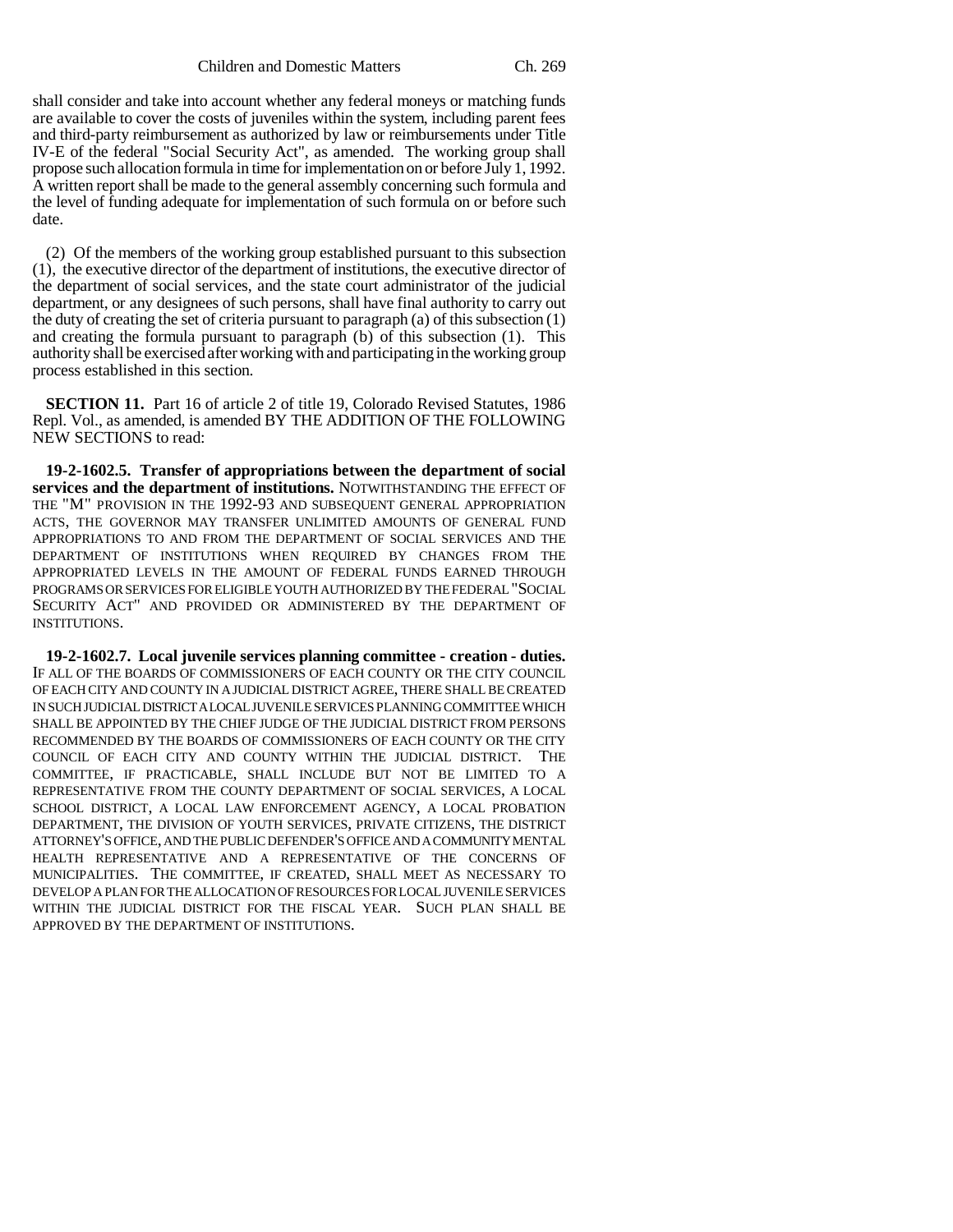Children and Domestic Matters Ch. 269

shall consider and take into account whether any federal moneys or matching funds are available to cover the costs of juveniles within the system, including parent fees and third-party reimbursement as authorized by law or reimbursements under Title IV-E of the federal "Social Security Act", as amended. The working group shall propose such allocation formula in time for implementation on or before July 1, 1992. A written report shall be made to the general assembly concerning such formula and the level of funding adequate for implementation of such formula on or before such date.

(2) Of the members of the working group established pursuant to this subsection (1), the executive director of the department of institutions, the executive director of the department of social services, and the state court administrator of the judicial department, or any designees of such persons, shall have final authority to carry out the duty of creating the set of criteria pursuant to paragraph (a) of this subsection  $(1)$ and creating the formula pursuant to paragraph (b) of this subsection (1). This authority shall be exercised after working with and participating in the working group process established in this section.

**SECTION 11.** Part 16 of article 2 of title 19, Colorado Revised Statutes, 1986 Repl. Vol., as amended, is amended BY THE ADDITION OF THE FOLLOWING NEW SECTIONS to read:

**19-2-1602.5. Transfer of appropriations between the department of social services and the department of institutions.** NOTWITHSTANDING THE EFFECT OF THE "M" PROVISION IN THE 1992-93 AND SUBSEQUENT GENERAL APPROPRIATION ACTS, THE GOVERNOR MAY TRANSFER UNLIMITED AMOUNTS OF GENERAL FUND APPROPRIATIONS TO AND FROM THE DEPARTMENT OF SOCIAL SERVICES AND THE DEPARTMENT OF INSTITUTIONS WHEN REQUIRED BY CHANGES FROM THE APPROPRIATED LEVELS IN THE AMOUNT OF FEDERAL FUNDS EARNED THROUGH PROGRAMS OR SERVICES FOR ELIGIBLE YOUTH AUTHORIZED BY THE FEDERAL "SOCIAL SECURITY ACT" AND PROVIDED OR ADMINISTERED BY THE DEPARTMENT OF INSTITUTIONS.

**19-2-1602.7. Local juvenile services planning committee - creation - duties.** IF ALL OF THE BOARDS OF COMMISSIONERS OF EACH COUNTY OR THE CITY COUNCIL OF EACH CITY AND COUNTY IN A JUDICIAL DISTRICT AGREE, THERE SHALL BE CREATED IN SUCH JUDICIAL DISTRICT A LOCAL JUVENILE SERVICES PLANNING COMMITTEE WHICH SHALL BE APPOINTED BY THE CHIEF JUDGE OF THE JUDICIAL DISTRICT FROM PERSONS RECOMMENDED BY THE BOARDS OF COMMISSIONERS OF EACH COUNTY OR THE CITY COUNCIL OF EACH CITY AND COUNTY WITHIN THE JUDICIAL DISTRICT. THE COMMITTEE, IF PRACTICABLE, SHALL INCLUDE BUT NOT BE LIMITED TO A REPRESENTATIVE FROM THE COUNTY DEPARTMENT OF SOCIAL SERVICES, A LOCAL SCHOOL DISTRICT, A LOCAL LAW ENFORCEMENT AGENCY, A LOCAL PROBATION DEPARTMENT, THE DIVISION OF YOUTH SERVICES, PRIVATE CITIZENS, THE DISTRICT ATTORNEY'S OFFICE, AND THE PUBLIC DEFENDER'S OFFICE AND A COMMUNITY MENTAL HEALTH REPRESENTATIVE AND A REPRESENTATIVE OF THE CONCERNS OF MUNICIPALITIES. THE COMMITTEE, IF CREATED, SHALL MEET AS NECESSARY TO DEVELOP A PLAN FOR THE ALLOCATION OF RESOURCES FOR LOCAL JUVENILE SERVICES WITHIN THE JUDICIAL DISTRICT FOR THE FISCAL YEAR. SUCH PLAN SHALL BE APPROVED BY THE DEPARTMENT OF INSTITUTIONS.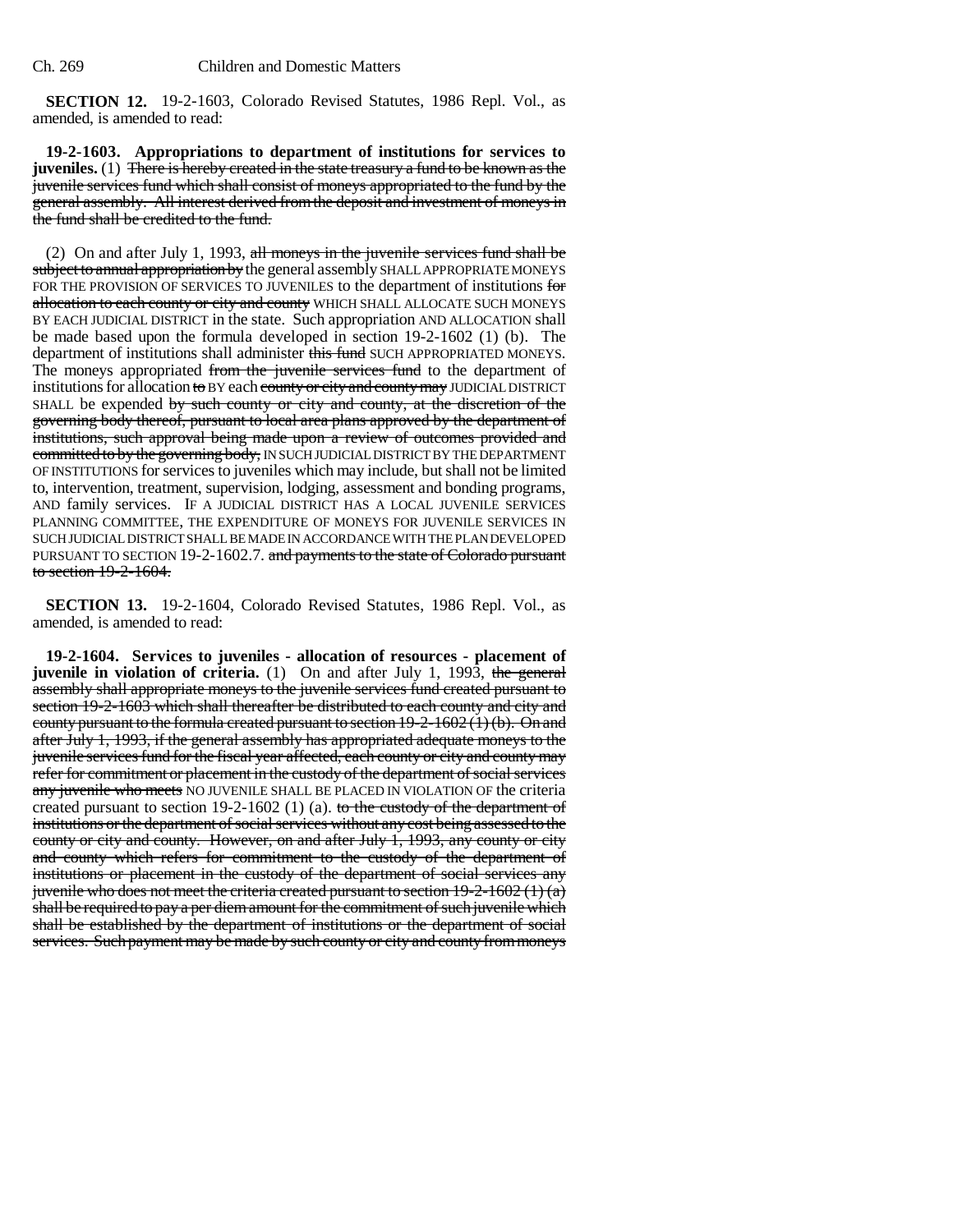**SECTION 12.** 19-2-1603, Colorado Revised Statutes, 1986 Repl. Vol., as amended, is amended to read:

**19-2-1603. Appropriations to department of institutions for services to juveniles.** (1) There is hereby created in the state treasury a fund to be known as the juvenile services fund which shall consist of moneys appropriated to the fund by the general assembly. All interest derived from the deposit and investment of moneys in the fund shall be credited to the fund.

(2) On and after July 1, 1993, all moneys in the juvenile services fund shall be subject to annual appropriation by the general assembly SHALL APPROPRIATE MONEYS FOR THE PROVISION OF SERVICES TO JUVENILES to the department of institutions for allocation to each county or city and county WHICH SHALL ALLOCATE SUCH MONEYS BY EACH JUDICIAL DISTRICT in the state. Such appropriation AND ALLOCATION shall be made based upon the formula developed in section 19-2-1602 (1) (b). The department of institutions shall administer this fund SUCH APPROPRIATED MONEYS. The moneys appropriated from the juvenile services fund to the department of institutions for allocation to BY each county or city and county may JUDICIAL DISTRICT SHALL be expended by such county or city and county, at the discretion of the governing body thereof, pursuant to local area plans approved by the department of institutions, such approval being made upon a review of outcomes provided and committed to by the governing body, IN SUCH JUDICIAL DISTRICT BY THE DEPARTMENT OF INSTITUTIONS for services to juveniles which may include, but shall not be limited to, intervention, treatment, supervision, lodging, assessment and bonding programs, AND family services. IF A JUDICIAL DISTRICT HAS A LOCAL JUVENILE SERVICES PLANNING COMMITTEE, THE EXPENDITURE OF MONEYS FOR JUVENILE SERVICES IN SUCH JUDICIAL DISTRICT SHALL BE MADE IN ACCORDANCE WITH THE PLAN DEVELOPED PURSUANT TO SECTION 19-2-1602.7. and payments to the state of Colorado pursuant to section 19-2-1604.

**SECTION 13.** 19-2-1604, Colorado Revised Statutes, 1986 Repl. Vol., as amended, is amended to read:

**19-2-1604. Services to juveniles - allocation of resources - placement of juvenile in violation of criteria.** (1) On and after July 1, 1993, the general assembly shall appropriate moneys to the juvenile services fund created pursuant to section 19-2-1603 which shall thereafter be distributed to each county and city and county pursuant to the formula created pursuant to section 19-2-1602 (1) (b). On and after July 1, 1993, if the general assembly has appropriated adequate moneys to the juvenile services fund for the fiscal year affected, each county or city and county may refer for commitment or placement in the custody of the department of social services any juvenile who meets NO JUVENILE SHALL BE PLACED IN VIOLATION OF the criteria created pursuant to section 19-2-1602 (1) (a). to the custody of the department of institutions or the department of social services without any cost being assessed to the county or city and county. However, on and after July 1, 1993, any county or city and county which refers for commitment to the custody of the department of institutions or placement in the custody of the department of social services any juvenile who does not meet the criteria created pursuant to section  $19-2-1602(1)(a)$ shall be required to pay a per diem amount for the commitment of such juvenile which shall be established by the department of institutions or the department of social services. Such payment may be made by such county or city and county from moneys